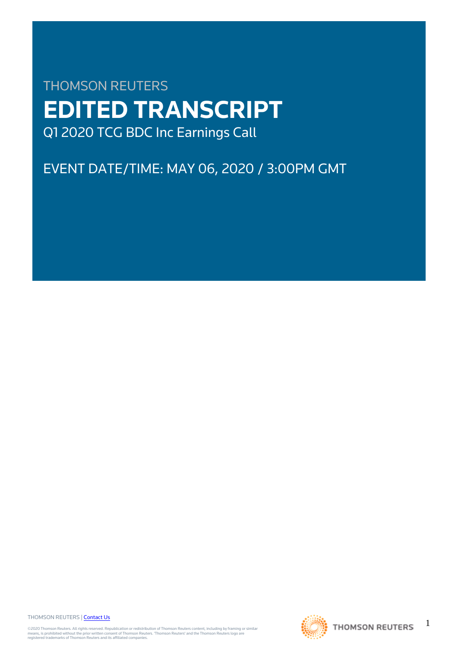# THOMSON REUTERS **EDITED TRANSCRIPT** Q1 2020 TCG BDC Inc Earnings Call

EVENT DATE/TIME: MAY 06, 2020 / 3:00PM GMT

THOMSON REUTERS | [Contact Us](https://my.thomsonreuters.com/ContactUsNew)

©2020 Thomson Reuters. All rights reserved. Republication or redistribution of Thomson Reuters content, including by framing or similar<br>means, is prohibited without the prior written consent of Thomson Reuters. 'Thomson Re



1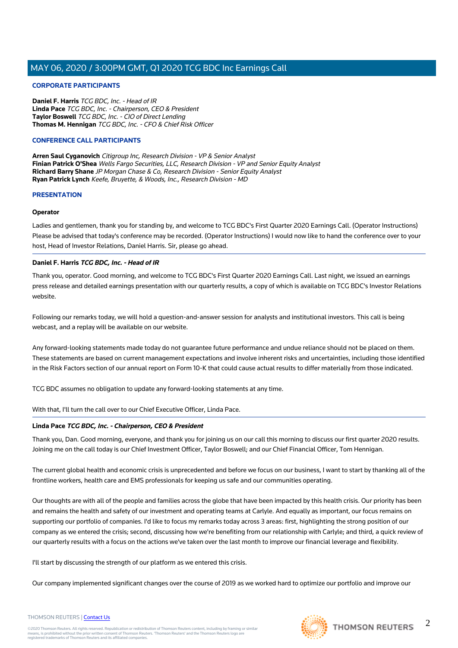### **CORPORATE PARTICIPANTS**

**Daniel F. Harris** TCG BDC, Inc. - Head of IR **Linda Pace** TCG BDC, Inc. - Chairperson, CEO & President **Taylor Boswell** TCG BDC, Inc. - CIO of Direct Lending **Thomas M. Hennigan** TCG BDC, Inc. - CFO & Chief Risk Officer

### **CONFERENCE CALL PARTICIPANTS**

**Arren Saul Cyganovich** Citigroup Inc, Research Division - VP & Senior Analyst **Finian Patrick O'Shea** Wells Fargo Securities, LLC, Research Division - VP and Senior Equity Analyst **Richard Barry Shane** JP Morgan Chase & Co, Research Division - Senior Equity Analyst **Ryan Patrick Lynch** Keefe, Bruyette, & Woods, Inc., Research Division - MD

### **PRESENTATION**

### **Operator**

Ladies and gentlemen, thank you for standing by, and welcome to TCG BDC's First Quarter 2020 Earnings Call. (Operator Instructions) Please be advised that today's conference may be recorded. (Operator Instructions) I would now like to hand the conference over to your host, Head of Investor Relations, Daniel Harris. Sir, please go ahead.

### **Daniel F. Harris TCG BDC, Inc. - Head of IR**

Thank you, operator. Good morning, and welcome to TCG BDC's First Quarter 2020 Earnings Call. Last night, we issued an earnings press release and detailed earnings presentation with our quarterly results, a copy of which is available on TCG BDC's Investor Relations website.

Following our remarks today, we will hold a question-and-answer session for analysts and institutional investors. This call is being webcast, and a replay will be available on our website.

Any forward-looking statements made today do not guarantee future performance and undue reliance should not be placed on them. These statements are based on current management expectations and involve inherent risks and uncertainties, including those identified in the Risk Factors section of our annual report on Form 10-K that could cause actual results to differ materially from those indicated.

TCG BDC assumes no obligation to update any forward-looking statements at any time.

With that, I'll turn the call over to our Chief Executive Officer, Linda Pace.

### **Linda Pace TCG BDC, Inc. - Chairperson, CEO & President**

Thank you, Dan. Good morning, everyone, and thank you for joining us on our call this morning to discuss our first quarter 2020 results. Joining me on the call today is our Chief Investment Officer, Taylor Boswell; and our Chief Financial Officer, Tom Hennigan.

The current global health and economic crisis is unprecedented and before we focus on our business, I want to start by thanking all of the frontline workers, health care and EMS professionals for keeping us safe and our communities operating.

Our thoughts are with all of the people and families across the globe that have been impacted by this health crisis. Our priority has been and remains the health and safety of our investment and operating teams at Carlyle. And equally as important, our focus remains on supporting our portfolio of companies. I'd like to focus my remarks today across 3 areas: first, highlighting the strong position of our company as we entered the crisis; second, discussing how we're benefiting from our relationship with Carlyle; and third, a quick review of our quarterly results with a focus on the actions we've taken over the last month to improve our financial leverage and flexibility.

I'll start by discussing the strength of our platform as we entered this crisis.

Our company implemented significant changes over the course of 2019 as we worked hard to optimize our portfolio and improve our





### THOMSON REUTERS | [Contact Us](https://my.thomsonreuters.com/ContactUsNew)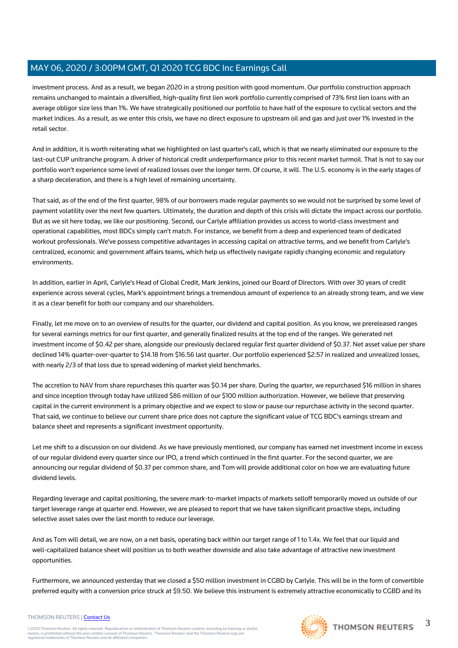investment process. And as a result, we began 2020 in a strong position with good momentum. Our portfolio construction approach remains unchanged to maintain a diversified, high-quality first lien work portfolio currently comprised of 73% first lien loans with an average obligor size less than 1%. We have strategically positioned our portfolio to have half of the exposure to cyclical sectors and the market indices. As a result, as we enter this crisis, we have no direct exposure to upstream oil and gas and just over 1% invested in the retail sector.

And in addition, it is worth reiterating what we highlighted on last quarter's call, which is that we nearly eliminated our exposure to the last-out CUP unitranche program. A driver of historical credit underperformance prior to this recent market turmoil. That is not to say our portfolio won't experience some level of realized losses over the longer term. Of course, it will. The U.S. economy is in the early stages of a sharp deceleration, and there is a high level of remaining uncertainty.

That said, as of the end of the first quarter, 98% of our borrowers made regular payments so we would not be surprised by some level of payment volatility over the next few quarters. Ultimately, the duration and depth of this crisis will dictate the impact across our portfolio. But as we sit here today, we like our positioning. Second, our Carlyle affiliation provides us access to world-class investment and operational capabilities, most BDCs simply can't match. For instance, we benefit from a deep and experienced team of dedicated workout professionals. We've possess competitive advantages in accessing capital on attractive terms, and we benefit from Carlyle's centralized, economic and government affairs teams, which help us effectively navigate rapidly changing economic and regulatory environments.

In addition, earlier in April, Carlyle's Head of Global Credit, Mark Jenkins, joined our Board of Directors. With over 30 years of credit experience across several cycles, Mark's appointment brings a tremendous amount of experience to an already strong team, and we view it as a clear benefit for both our company and our shareholders.

Finally, let me move on to an overview of results for the quarter, our dividend and capital position. As you know, we prereleased ranges for several earnings metrics for our first quarter, and generally finalized results at the top end of the ranges. We generated net investment income of \$0.42 per share, alongside our previously declared regular first quarter dividend of \$0.37. Net asset value per share declined 14% quarter-over-quarter to \$14.18 from \$16.56 last quarter. Our portfolio experienced \$2.57 in realized and unrealized losses, with nearly 2/3 of that loss due to spread widening of market yield benchmarks.

The accretion to NAV from share repurchases this quarter was \$0.14 per share. During the quarter, we repurchased \$16 million in shares and since inception through today have utilized \$86 million of our \$100 million authorization. However, we believe that preserving capital in the current environment is a primary objective and we expect to slow or pause our repurchase activity in the second quarter. That said, we continue to believe our current share price does not capture the significant value of TCG BDC's earnings stream and balance sheet and represents a significant investment opportunity.

Let me shift to a discussion on our dividend. As we have previously mentioned, our company has earned net investment income in excess of our regular dividend every quarter since our IPO, a trend which continued in the first quarter. For the second quarter, we are announcing our regular dividend of \$0.37 per common share, and Tom will provide additional color on how we are evaluating future dividend levels.

Regarding leverage and capital positioning, the severe mark-to-market impacts of markets selloff temporarily moved us outside of our target leverage range at quarter end. However, we are pleased to report that we have taken significant proactive steps, including selective asset sales over the last month to reduce our leverage.

And as Tom will detail, we are now, on a net basis, operating back within our target range of 1 to 1.4x. We feel that our liquid and well-capitalized balance sheet will position us to both weather downside and also take advantage of attractive new investment opportunities.

Furthermore, we announced yesterday that we closed a \$50 million investment in CGBD by Carlyle. This will be in the form of convertible preferred equity with a conversion price struck at \$9.50. We believe this instrument is extremely attractive economically to CGBD and its

### THOMSON REUTERS | [Contact Us](https://my.thomsonreuters.com/ContactUsNew)

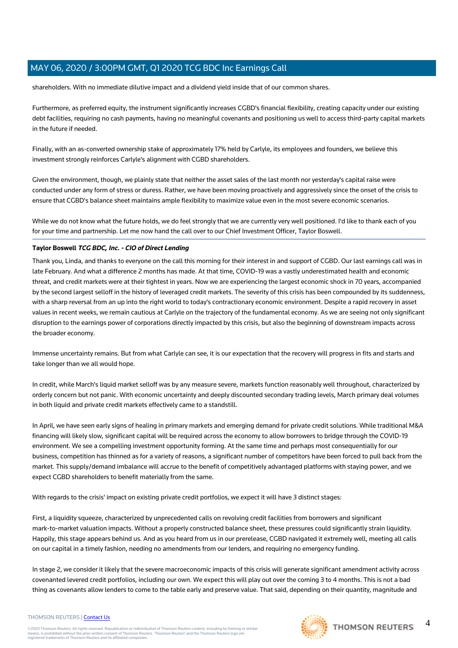shareholders. With no immediate dilutive impact and a dividend yield inside that of our common shares.

Furthermore, as preferred equity, the instrument significantly increases CGBD's financial flexibility, creating capacity under our existing debt facilities, requiring no cash payments, having no meaningful covenants and positioning us well to access third-party capital markets in the future if needed.

Finally, with an as-converted ownership stake of approximately 17% held by Carlyle, its employees and founders, we believe this investment strongly reinforces Carlyle's alignment with CGBD shareholders.

Given the environment, though, we plainly state that neither the asset sales of the last month nor yesterday's capital raise were conducted under any form of stress or duress. Rather, we have been moving proactively and aggressively since the onset of the crisis to ensure that CGBD's balance sheet maintains ample flexibility to maximize value even in the most severe economic scenarios.

While we do not know what the future holds, we do feel strongly that we are currently very well positioned. I'd like to thank each of you for your time and partnership. Let me now hand the call over to our Chief Investment Officer, Taylor Boswell.

### **Taylor Boswell TCG BDC, Inc. - CIO of Direct Lending**

Thank you, Linda, and thanks to everyone on the call this morning for their interest in and support of CGBD. Our last earnings call was in late February. And what a difference 2 months has made. At that time, COVID-19 was a vastly underestimated health and economic threat, and credit markets were at their tightest in years. Now we are experiencing the largest economic shock in 70 years, accompanied by the second largest selloff in the history of leveraged credit markets. The severity of this crisis has been compounded by its suddenness, with a sharp reversal from an up into the right world to today's contractionary economic environment. Despite a rapid recovery in asset values in recent weeks, we remain cautious at Carlyle on the trajectory of the fundamental economy. As we are seeing not only significant disruption to the earnings power of corporations directly impacted by this crisis, but also the beginning of downstream impacts across the broader economy.

Immense uncertainty remains. But from what Carlyle can see, it is our expectation that the recovery will progress in fits and starts and take longer than we all would hope.

In credit, while March's liquid market selloff was by any measure severe, markets function reasonably well throughout, characterized by orderly concern but not panic. With economic uncertainty and deeply discounted secondary trading levels, March primary deal volumes in both liquid and private credit markets effectively came to a standstill.

In April, we have seen early signs of healing in primary markets and emerging demand for private credit solutions. While traditional M&A financing will likely slow, significant capital will be required across the economy to allow borrowers to bridge through the COVID-19 environment. We see a compelling investment opportunity forming. At the same time and perhaps most consequentially for our business, competition has thinned as for a variety of reasons, a significant number of competitors have been forced to pull back from the market. This supply/demand imbalance will accrue to the benefit of competitively advantaged platforms with staying power, and we expect CGBD shareholders to benefit materially from the same.

With regards to the crisis' impact on existing private credit portfolios, we expect it will have 3 distinct stages:

First, a liquidity squeeze, characterized by unprecedented calls on revolving credit facilities from borrowers and significant mark-to-market valuation impacts. Without a properly constructed balance sheet, these pressures could significantly strain liquidity. Happily, this stage appears behind us. And as you heard from us in our prerelease, CGBD navigated it extremely well, meeting all calls on our capital in a timely fashion, needing no amendments from our lenders, and requiring no emergency funding.

In stage 2, we consider it likely that the severe macroeconomic impacts of this crisis will generate significant amendment activity across covenanted levered credit portfolios, including our own. We expect this will play out over the coming 3 to 4 months. This is not a bad thing as covenants allow lenders to come to the table early and preserve value. That said, depending on their quantity, magnitude and

### THOMSON REUTERS | [Contact Us](https://my.thomsonreuters.com/ContactUsNew)

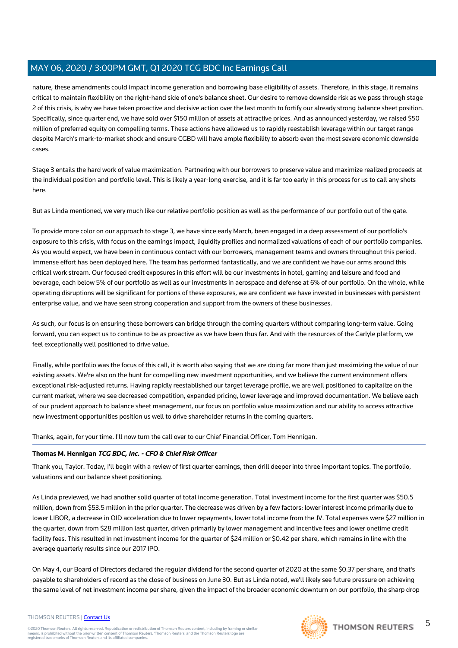nature, these amendments could impact income generation and borrowing base eligibility of assets. Therefore, in this stage, it remains critical to maintain flexibility on the right-hand side of one's balance sheet. Our desire to remove downside risk as we pass through stage 2 of this crisis, is why we have taken proactive and decisive action over the last month to fortify our already strong balance sheet position. Specifically, since quarter end, we have sold over \$150 million of assets at attractive prices. And as announced yesterday, we raised \$50 million of preferred equity on compelling terms. These actions have allowed us to rapidly reestablish leverage within our target range despite March's mark-to-market shock and ensure CGBD will have ample flexibility to absorb even the most severe economic downside cases.

Stage 3 entails the hard work of value maximization. Partnering with our borrowers to preserve value and maximize realized proceeds at the individual position and portfolio level. This is likely a year-long exercise, and it is far too early in this process for us to call any shots here.

But as Linda mentioned, we very much like our relative portfolio position as well as the performance of our portfolio out of the gate.

To provide more color on our approach to stage 3, we have since early March, been engaged in a deep assessment of our portfolio's exposure to this crisis, with focus on the earnings impact, liquidity profiles and normalized valuations of each of our portfolio companies. As you would expect, we have been in continuous contact with our borrowers, management teams and owners throughout this period. Immense effort has been deployed here. The team has performed fantastically, and we are confident we have our arms around this critical work stream. Our focused credit exposures in this effort will be our investments in hotel, gaming and leisure and food and beverage, each below 5% of our portfolio as well as our investments in aerospace and defense at 6% of our portfolio. On the whole, while operating disruptions will be significant for portions of these exposures, we are confident we have invested in businesses with persistent enterprise value, and we have seen strong cooperation and support from the owners of these businesses.

As such, our focus is on ensuring these borrowers can bridge through the coming quarters without comparing long-term value. Going forward, you can expect us to continue to be as proactive as we have been thus far. And with the resources of the Carlyle platform, we feel exceptionally well positioned to drive value.

Finally, while portfolio was the focus of this call, it is worth also saying that we are doing far more than just maximizing the value of our existing assets. We're also on the hunt for compelling new investment opportunities, and we believe the current environment offers exceptional risk-adjusted returns. Having rapidly reestablished our target leverage profile, we are well positioned to capitalize on the current market, where we see decreased competition, expanded pricing, lower leverage and improved documentation. We believe each of our prudent approach to balance sheet management, our focus on portfolio value maximization and our ability to access attractive new investment opportunities position us well to drive shareholder returns in the coming quarters.

Thanks, again, for your time. I'll now turn the call over to our Chief Financial Officer, Tom Hennigan.

### **Thomas M. Hennigan TCG BDC, Inc. - CFO & Chief Risk Officer**

Thank you, Taylor. Today, I'll begin with a review of first quarter earnings, then drill deeper into three important topics. The portfolio, valuations and our balance sheet positioning.

As Linda previewed, we had another solid quarter of total income generation. Total investment income for the first quarter was \$50.5 million, down from \$53.5 million in the prior quarter. The decrease was driven by a few factors: lower interest income primarily due to lower LIBOR, a decrease in OID acceleration due to lower repayments, lower total income from the JV. Total expenses were \$27 million in the quarter, down from \$28 million last quarter, driven primarily by lower management and incentive fees and lower onetime credit facility fees. This resulted in net investment income for the quarter of \$24 million or \$0.42 per share, which remains in line with the average quarterly results since our 2017 IPO.

On May 4, our Board of Directors declared the regular dividend for the second quarter of 2020 at the same \$0.37 per share, and that's payable to shareholders of record as the close of business on June 30. But as Linda noted, we'll likely see future pressure on achieving the same level of net investment income per share, given the impact of the broader economic downturn on our portfolio, the sharp drop



5

### THOMSON REUTERS | [Contact Us](https://my.thomsonreuters.com/ContactUsNew)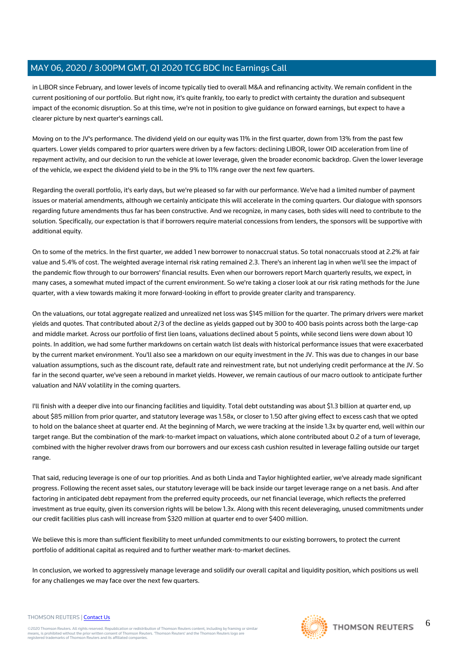in LIBOR since February, and lower levels of income typically tied to overall M&A and refinancing activity. We remain confident in the current positioning of our portfolio. But right now, it's quite frankly, too early to predict with certainty the duration and subsequent impact of the economic disruption. So at this time, we're not in position to give guidance on forward earnings, but expect to have a clearer picture by next quarter's earnings call.

Moving on to the JV's performance. The dividend yield on our equity was 11% in the first quarter, down from 13% from the past few quarters. Lower yields compared to prior quarters were driven by a few factors: declining LIBOR, lower OID acceleration from line of repayment activity, and our decision to run the vehicle at lower leverage, given the broader economic backdrop. Given the lower leverage of the vehicle, we expect the dividend yield to be in the 9% to 11% range over the next few quarters.

Regarding the overall portfolio, it's early days, but we're pleased so far with our performance. We've had a limited number of payment issues or material amendments, although we certainly anticipate this will accelerate in the coming quarters. Our dialogue with sponsors regarding future amendments thus far has been constructive. And we recognize, in many cases, both sides will need to contribute to the solution. Specifically, our expectation is that if borrowers require material concessions from lenders, the sponsors will be supportive with additional equity.

On to some of the metrics. In the first quarter, we added 1 new borrower to nonaccrual status. So total nonaccruals stood at 2.2% at fair value and 5.4% of cost. The weighted average internal risk rating remained 2.3. There's an inherent lag in when we'll see the impact of the pandemic flow through to our borrowers' financial results. Even when our borrowers report March quarterly results, we expect, in many cases, a somewhat muted impact of the current environment. So we're taking a closer look at our risk rating methods for the June quarter, with a view towards making it more forward-looking in effort to provide greater clarity and transparency.

On the valuations, our total aggregate realized and unrealized net loss was \$145 million for the quarter. The primary drivers were market yields and quotes. That contributed about 2/3 of the decline as yields gapped out by 300 to 400 basis points across both the large-cap and middle market. Across our portfolio of first lien loans, valuations declined about 5 points, while second liens were down about 10 points. In addition, we had some further markdowns on certain watch list deals with historical performance issues that were exacerbated by the current market environment. You'll also see a markdown on our equity investment in the JV. This was due to changes in our base valuation assumptions, such as the discount rate, default rate and reinvestment rate, but not underlying credit performance at the JV. So far in the second quarter, we've seen a rebound in market yields. However, we remain cautious of our macro outlook to anticipate further valuation and NAV volatility in the coming quarters.

I'll finish with a deeper dive into our financing facilities and liquidity. Total debt outstanding was about \$1.3 billion at quarter end, up about \$85 million from prior quarter, and statutory leverage was 1.58x, or closer to 1.50 after giving effect to excess cash that we opted to hold on the balance sheet at quarter end. At the beginning of March, we were tracking at the inside 1.3x by quarter end, well within our target range. But the combination of the mark-to-market impact on valuations, which alone contributed about 0.2 of a turn of leverage, combined with the higher revolver draws from our borrowers and our excess cash cushion resulted in leverage falling outside our target range.

That said, reducing leverage is one of our top priorities. And as both Linda and Taylor highlighted earlier, we've already made significant progress. Following the recent asset sales, our statutory leverage will be back inside our target leverage range on a net basis. And after factoring in anticipated debt repayment from the preferred equity proceeds, our net financial leverage, which reflects the preferred investment as true equity, given its conversion rights will be below 1.3x. Along with this recent deleveraging, unused commitments under our credit facilities plus cash will increase from \$320 million at quarter end to over \$400 million.

We believe this is more than sufficient flexibility to meet unfunded commitments to our existing borrowers, to protect the current portfolio of additional capital as required and to further weather mark-to-market declines.

In conclusion, we worked to aggressively manage leverage and solidify our overall capital and liquidity position, which positions us well for any challenges we may face over the next few quarters.

### THOMSON REUTERS | [Contact Us](https://my.thomsonreuters.com/ContactUsNew)

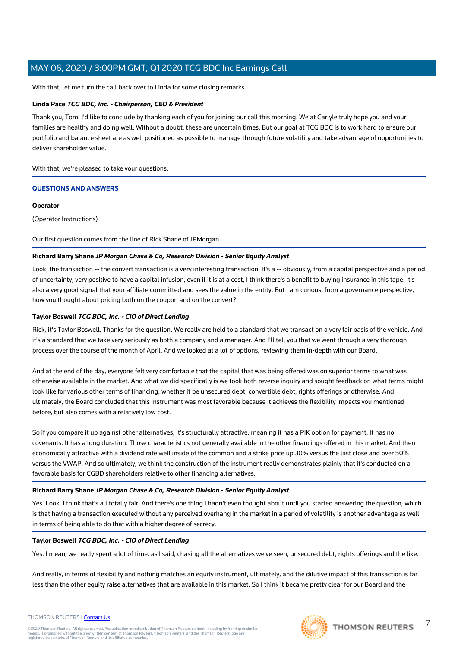With that, let me turn the call back over to Linda for some closing remarks.

### **Linda Pace TCG BDC, Inc. - Chairperson, CEO & President**

Thank you, Tom. I'd like to conclude by thanking each of you for joining our call this morning. We at Carlyle truly hope you and your families are healthy and doing well. Without a doubt, these are uncertain times. But our goal at TCG BDC is to work hard to ensure our portfolio and balance sheet are as well positioned as possible to manage through future volatility and take advantage of opportunities to deliver shareholder value.

With that, we're pleased to take your questions.

### **QUESTIONS AND ANSWERS**

### **Operator**

(Operator Instructions)

Our first question comes from the line of Rick Shane of JPMorgan.

### **Richard Barry Shane JP Morgan Chase & Co, Research Division - Senior Equity Analyst**

Look, the transaction -- the convert transaction is a very interesting transaction. It's a -- obviously, from a capital perspective and a period of uncertainty, very positive to have a capital infusion, even if it is at a cost, I think there's a benefit to buying insurance in this tape. It's also a very good signal that your affiliate committed and sees the value in the entity. But I am curious, from a governance perspective, how you thought about pricing both on the coupon and on the convert?

### **Taylor Boswell TCG BDC, Inc. - CIO of Direct Lending**

Rick, it's Taylor Boswell. Thanks for the question. We really are held to a standard that we transact on a very fair basis of the vehicle. And it's a standard that we take very seriously as both a company and a manager. And I'll tell you that we went through a very thorough process over the course of the month of April. And we looked at a lot of options, reviewing them in-depth with our Board.

And at the end of the day, everyone felt very comfortable that the capital that was being offered was on superior terms to what was otherwise available in the market. And what we did specifically is we took both reverse inquiry and sought feedback on what terms might look like for various other terms of financing, whether it be unsecured debt, convertible debt, rights offerings or otherwise. And ultimately, the Board concluded that this instrument was most favorable because it achieves the flexibility impacts you mentioned before, but also comes with a relatively low cost.

So if you compare it up against other alternatives, it's structurally attractive, meaning it has a PIK option for payment. It has no covenants. It has a long duration. Those characteristics not generally available in the other financings offered in this market. And then economically attractive with a dividend rate well inside of the common and a strike price up 30% versus the last close and over 50% versus the VWAP. And so ultimately, we think the construction of the instrument really demonstrates plainly that it's conducted on a favorable basis for CGBD shareholders relative to other financing alternatives.

### **Richard Barry Shane JP Morgan Chase & Co, Research Division - Senior Equity Analyst**

Yes. Look, I think that's all totally fair. And there's one thing I hadn't even thought about until you started answering the question, which is that having a transaction executed without any perceived overhang in the market in a period of volatility is another advantage as well in terms of being able to do that with a higher degree of secrecy.

### **Taylor Boswell TCG BDC, Inc. - CIO of Direct Lending**

Yes. I mean, we really spent a lot of time, as I said, chasing all the alternatives we've seen, unsecured debt, rights offerings and the like.

And really, in terms of flexibility and nothing matches an equity instrument, ultimately, and the dilutive impact of this transaction is far less than the other equity raise alternatives that are available in this market. So I think it became pretty clear for our Board and the



7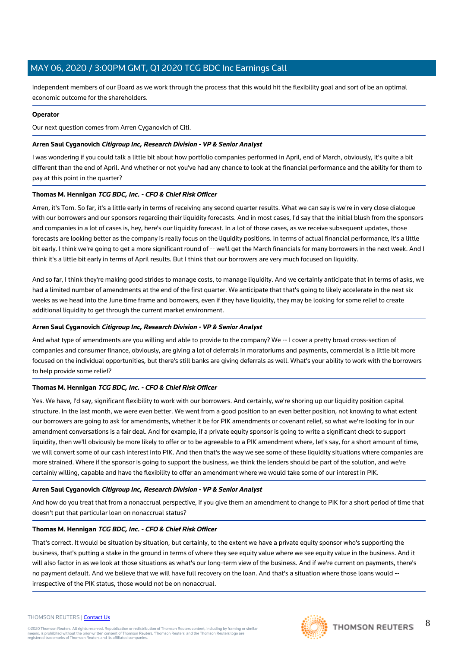independent members of our Board as we work through the process that this would hit the flexibility goal and sort of be an optimal economic outcome for the shareholders.

### **Operator**

Our next question comes from Arren Cyganovich of Citi.

### **Arren Saul Cyganovich Citigroup Inc, Research Division - VP & Senior Analyst**

I was wondering if you could talk a little bit about how portfolio companies performed in April, end of March, obviously, it's quite a bit different than the end of April. And whether or not you've had any chance to look at the financial performance and the ability for them to pay at this point in the quarter?

### **Thomas M. Hennigan TCG BDC, Inc. - CFO & Chief Risk Officer**

Arren, it's Tom. So far, it's a little early in terms of receiving any second quarter results. What we can say is we're in very close dialogue with our borrowers and our sponsors regarding their liquidity forecasts. And in most cases, I'd say that the initial blush from the sponsors and companies in a lot of cases is, hey, here's our liquidity forecast. In a lot of those cases, as we receive subsequent updates, those forecasts are looking better as the company is really focus on the liquidity positions. In terms of actual financial performance, it's a little bit early. I think we're going to get a more significant round of -- we'll get the March financials for many borrowers in the next week. And I think it's a little bit early in terms of April results. But I think that our borrowers are very much focused on liquidity.

And so far, I think they're making good strides to manage costs, to manage liquidity. And we certainly anticipate that in terms of asks, we had a limited number of amendments at the end of the first quarter. We anticipate that that's going to likely accelerate in the next six weeks as we head into the June time frame and borrowers, even if they have liquidity, they may be looking for some relief to create additional liquidity to get through the current market environment.

### **Arren Saul Cyganovich Citigroup Inc, Research Division - VP & Senior Analyst**

And what type of amendments are you willing and able to provide to the company? We -- I cover a pretty broad cross-section of companies and consumer finance, obviously, are giving a lot of deferrals in moratoriums and payments, commercial is a little bit more focused on the individual opportunities, but there's still banks are giving deferrals as well. What's your ability to work with the borrowers to help provide some relief?

### **Thomas M. Hennigan TCG BDC, Inc. - CFO & Chief Risk Officer**

Yes. We have, I'd say, significant flexibility to work with our borrowers. And certainly, we're shoring up our liquidity position capital structure. In the last month, we were even better. We went from a good position to an even better position, not knowing to what extent our borrowers are going to ask for amendments, whether it be for PIK amendments or covenant relief, so what we're looking for in our amendment conversations is a fair deal. And for example, if a private equity sponsor is going to write a significant check to support liquidity, then we'll obviously be more likely to offer or to be agreeable to a PIK amendment where, let's say, for a short amount of time, we will convert some of our cash interest into PIK. And then that's the way we see some of these liquidity situations where companies are more strained. Where if the sponsor is going to support the business, we think the lenders should be part of the solution, and we're certainly willing, capable and have the flexibility to offer an amendment where we would take some of our interest in PIK.

### **Arren Saul Cyganovich Citigroup Inc, Research Division - VP & Senior Analyst**

And how do you treat that from a nonaccrual perspective, if you give them an amendment to change to PIK for a short period of time that doesn't put that particular loan on nonaccrual status?

### **Thomas M. Hennigan TCG BDC, Inc. - CFO & Chief Risk Officer**

That's correct. It would be situation by situation, but certainly, to the extent we have a private equity sponsor who's supporting the business, that's putting a stake in the ground in terms of where they see equity value where we see equity value in the business. And it will also factor in as we look at those situations as what's our long-term view of the business. And if we're current on payments, there's no payment default. And we believe that we will have full recovery on the loan. And that's a situation where those loans would - irrespective of the PIK status, those would not be on nonaccrual.

# **THOMSON REUTERS**

8

### THOMSON REUTERS | [Contact Us](https://my.thomsonreuters.com/ContactUsNew)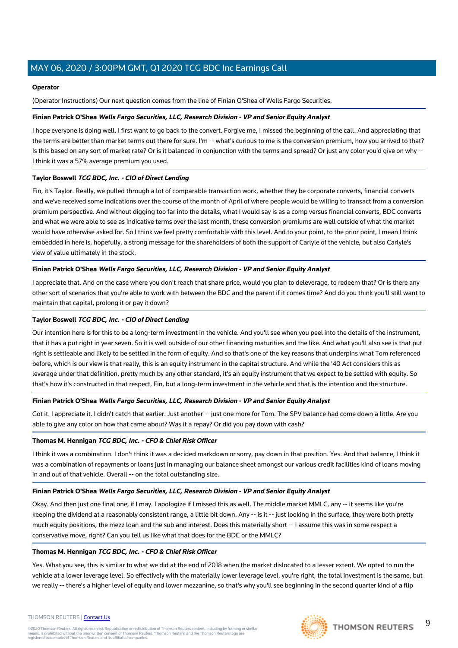### **Operator**

(Operator Instructions) Our next question comes from the line of Finian O'Shea of Wells Fargo Securities.

### **Finian Patrick O'Shea Wells Fargo Securities, LLC, Research Division - VP and Senior Equity Analyst**

I hope everyone is doing well. I first want to go back to the convert. Forgive me, I missed the beginning of the call. And appreciating that the terms are better than market terms out there for sure. I'm -- what's curious to me is the conversion premium, how you arrived to that? Is this based on any sort of market rate? Or is it balanced in conjunction with the terms and spread? Or just any color you'd give on why -- I think it was a 57% average premium you used.

### **Taylor Boswell TCG BDC, Inc. - CIO of Direct Lending**

Fin, it's Taylor. Really, we pulled through a lot of comparable transaction work, whether they be corporate converts, financial converts and we've received some indications over the course of the month of April of where people would be willing to transact from a conversion premium perspective. And without digging too far into the details, what I would say is as a comp versus financial converts, BDC converts and what we were able to see as indicative terms over the last month, these conversion premiums are well outside of what the market would have otherwise asked for. So I think we feel pretty comfortable with this level. And to your point, to the prior point, I mean I think embedded in here is, hopefully, a strong message for the shareholders of both the support of Carlyle of the vehicle, but also Carlyle's view of value ultimately in the stock.

### **Finian Patrick O'Shea Wells Fargo Securities, LLC, Research Division - VP and Senior Equity Analyst**

I appreciate that. And on the case where you don't reach that share price, would you plan to deleverage, to redeem that? Or is there any other sort of scenarios that you're able to work with between the BDC and the parent if it comes time? And do you think you'll still want to maintain that capital, prolong it or pay it down?

### **Taylor Boswell TCG BDC, Inc. - CIO of Direct Lending**

Our intention here is for this to be a long-term investment in the vehicle. And you'll see when you peel into the details of the instrument, that it has a put right in year seven. So it is well outside of our other financing maturities and the like. And what you'll also see is that put right is settleable and likely to be settled in the form of equity. And so that's one of the key reasons that underpins what Tom referenced before, which is our view is that really, this is an equity instrument in the capital structure. And while the '40 Act considers this as leverage under that definition, pretty much by any other standard, it's an equity instrument that we expect to be settled with equity. So that's how it's constructed in that respect, Fin, but a long-term investment in the vehicle and that is the intention and the structure.

### **Finian Patrick O'Shea Wells Fargo Securities, LLC, Research Division - VP and Senior Equity Analyst**

Got it. I appreciate it. I didn't catch that earlier. Just another -- just one more for Tom. The SPV balance had come down a little. Are you able to give any color on how that came about? Was it a repay? Or did you pay down with cash?

### **Thomas M. Hennigan TCG BDC, Inc. - CFO & Chief Risk Officer**

I think it was a combination. I don't think it was a decided markdown or sorry, pay down in that position. Yes. And that balance, I think it was a combination of repayments or loans just in managing our balance sheet amongst our various credit facilities kind of loans moving in and out of that vehicle. Overall -- on the total outstanding size.

### **Finian Patrick O'Shea Wells Fargo Securities, LLC, Research Division - VP and Senior Equity Analyst**

Okay. And then just one final one, if I may. I apologize if I missed this as well. The middle market MMLC, any -- it seems like you're keeping the dividend at a reasonably consistent range, a little bit down. Any -- is it -- just looking in the surface, they were both pretty much equity positions, the mezz loan and the sub and interest. Does this materially short -- I assume this was in some respect a conservative move, right? Can you tell us like what that does for the BDC or the MMLC?

### **Thomas M. Hennigan TCG BDC, Inc. - CFO & Chief Risk Officer**

Yes. What you see, this is similar to what we did at the end of 2018 when the market dislocated to a lesser extent. We opted to run the vehicle at a lower leverage level. So effectively with the materially lower leverage level, you're right, the total investment is the same, but we really -- there's a higher level of equity and lower mezzanine, so that's why you'll see beginning in the second quarter kind of a flip

### THOMSON REUTERS | [Contact Us](https://my.thomsonreuters.com/ContactUsNew)



9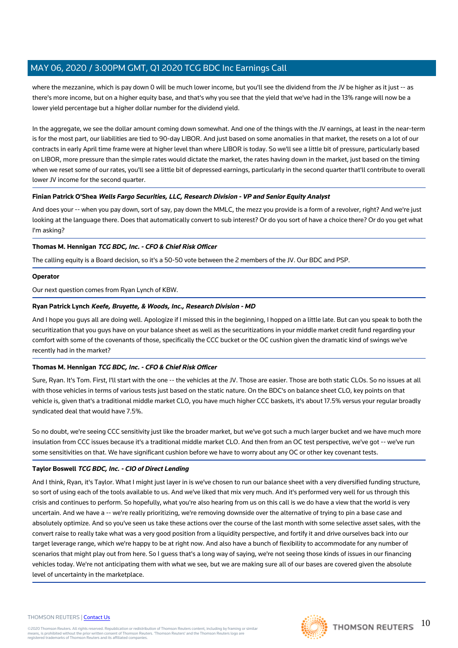where the mezzanine, which is pay down 0 will be much lower income, but you'll see the dividend from the JV be higher as it just -- as there's more income, but on a higher equity base, and that's why you see that the yield that we've had in the 13% range will now be a lower yield percentage but a higher dollar number for the dividend yield.

In the aggregate, we see the dollar amount coming down somewhat. And one of the things with the JV earnings, at least in the near-term is for the most part, our liabilities are tied to 90-day LIBOR. And just based on some anomalies in that market, the resets on a lot of our contracts in early April time frame were at higher level than where LIBOR is today. So we'll see a little bit of pressure, particularly based on LIBOR, more pressure than the simple rates would dictate the market, the rates having down in the market, just based on the timing when we reset some of our rates, you'll see a little bit of depressed earnings, particularly in the second quarter that'll contribute to overall lower JV income for the second quarter.

### **Finian Patrick O'Shea Wells Fargo Securities, LLC, Research Division - VP and Senior Equity Analyst**

And does your -- when you pay down, sort of say, pay down the MMLC, the mezz you provide is a form of a revolver, right? And we're just looking at the language there. Does that automatically convert to sub interest? Or do you sort of have a choice there? Or do you get what I'm asking?

### **Thomas M. Hennigan TCG BDC, Inc. - CFO & Chief Risk Officer**

The calling equity is a Board decision, so it's a 50-50 vote between the 2 members of the JV. Our BDC and PSP.

### **Operator**

Our next question comes from Ryan Lynch of KBW.

### **Ryan Patrick Lynch Keefe, Bruyette, & Woods, Inc., Research Division - MD**

And I hope you guys all are doing well. Apologize if I missed this in the beginning, I hopped on a little late. But can you speak to both the securitization that you guys have on your balance sheet as well as the securitizations in your middle market credit fund regarding your comfort with some of the covenants of those, specifically the CCC bucket or the OC cushion given the dramatic kind of swings we've recently had in the market?

### **Thomas M. Hennigan TCG BDC, Inc. - CFO & Chief Risk Officer**

Sure, Ryan. It's Tom. First, I'll start with the one -- the vehicles at the JV. Those are easier. Those are both static CLOs. So no issues at all with those vehicles in terms of various tests just based on the static nature. On the BDC's on balance sheet CLO, key points on that vehicle is, given that's a traditional middle market CLO, you have much higher CCC baskets, it's about 17.5% versus your regular broadly syndicated deal that would have 7.5%.

So no doubt, we're seeing CCC sensitivity just like the broader market, but we've got such a much larger bucket and we have much more insulation from CCC issues because it's a traditional middle market CLO. And then from an OC test perspective, we've got -- we've run some sensitivities on that. We have significant cushion before we have to worry about any OC or other key covenant tests.

### **Taylor Boswell TCG BDC, Inc. - CIO of Direct Lending**

And I think, Ryan, it's Taylor. What I might just layer in is we've chosen to run our balance sheet with a very diversified funding structure, so sort of using each of the tools available to us. And we've liked that mix very much. And it's performed very well for us through this crisis and continues to perform. So hopefully, what you're also hearing from us on this call is we do have a view that the world is very uncertain. And we have a -- we're really prioritizing, we're removing downside over the alternative of trying to pin a base case and absolutely optimize. And so you've seen us take these actions over the course of the last month with some selective asset sales, with the convert raise to really take what was a very good position from a liquidity perspective, and fortify it and drive ourselves back into our target leverage range, which we're happy to be at right now. And also have a bunch of flexibility to accommodate for any number of scenarios that might play out from here. So I guess that's a long way of saying, we're not seeing those kinds of issues in our financing vehicles today. We're not anticipating them with what we see, but we are making sure all of our bases are covered given the absolute level of uncertainty in the marketplace.

### THOMSON REUTERS | [Contact Us](https://my.thomsonreuters.com/ContactUsNew)

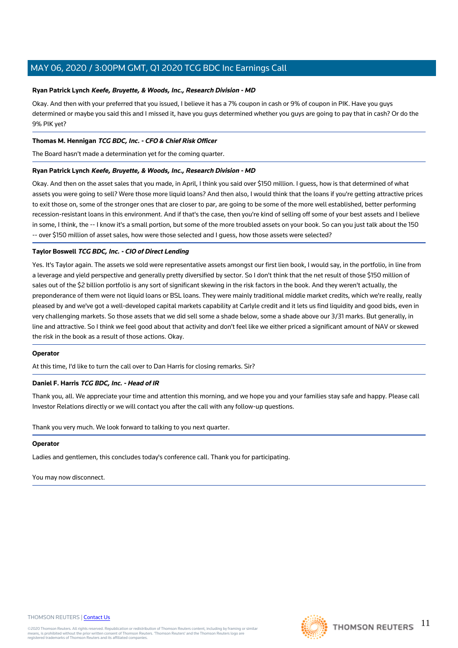### **Ryan Patrick Lynch Keefe, Bruyette, & Woods, Inc., Research Division - MD**

Okay. And then with your preferred that you issued, I believe it has a 7% coupon in cash or 9% of coupon in PIK. Have you guys determined or maybe you said this and I missed it, have you guys determined whether you guys are going to pay that in cash? Or do the 9% PIK yet?

### **Thomas M. Hennigan TCG BDC, Inc. - CFO & Chief Risk Officer**

The Board hasn't made a determination yet for the coming quarter.

### **Ryan Patrick Lynch Keefe, Bruyette, & Woods, Inc., Research Division - MD**

Okay. And then on the asset sales that you made, in April, I think you said over \$150 million. I guess, how is that determined of what assets you were going to sell? Were those more liquid loans? And then also, I would think that the loans if you're getting attractive prices to exit those on, some of the stronger ones that are closer to par, are going to be some of the more well established, better performing recession-resistant loans in this environment. And if that's the case, then you're kind of selling off some of your best assets and I believe in some, I think, the -- I know it's a small portion, but some of the more troubled assets on your book. So can you just talk about the 150 -- over \$150 million of asset sales, how were those selected and I guess, how those assets were selected?

### **Taylor Boswell TCG BDC, Inc. - CIO of Direct Lending**

Yes. It's Taylor again. The assets we sold were representative assets amongst our first lien book, I would say, in the portfolio, in line from a leverage and yield perspective and generally pretty diversified by sector. So I don't think that the net result of those \$150 million of sales out of the \$2 billion portfolio is any sort of significant skewing in the risk factors in the book. And they weren't actually, the preponderance of them were not liquid loans or BSL loans. They were mainly traditional middle market credits, which we're really, really pleased by and we've got a well-developed capital markets capability at Carlyle credit and it lets us find liquidity and good bids, even in very challenging markets. So those assets that we did sell some a shade below, some a shade above our 3/31 marks. But generally, in line and attractive. So I think we feel good about that activity and don't feel like we either priced a significant amount of NAV or skewed the risk in the book as a result of those actions. Okay.

### **Operator**

At this time, I'd like to turn the call over to Dan Harris for closing remarks. Sir?

### **Daniel F. Harris TCG BDC, Inc. - Head of IR**

Thank you, all. We appreciate your time and attention this morning, and we hope you and your families stay safe and happy. Please call Investor Relations directly or we will contact you after the call with any follow-up questions.

Thank you very much. We look forward to talking to you next quarter.

### **Operator**

Ladies and gentlemen, this concludes today's conference call. Thank you for participating.

You may now disconnect.